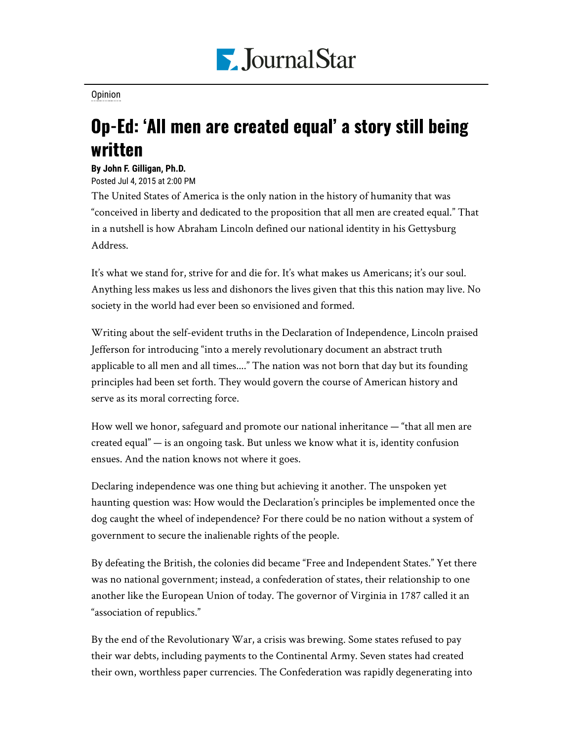

## [Opinion](https://www.pjstar.com/search?text=Opinion)

## Op-Ed: 'All men are created equal' a story still being written

## **By John F. Gilligan, Ph.D.**

Posted Jul 4, 2015 at 2:00 PM

The United States of America is the only nation in the history of humanity that was "conceived in liberty and dedicated to the proposition that all men are created equal." That in a nutshell is how Abraham Lincoln defined our national identity in his Gettysburg Address.

It's what we stand for, strive for and die for. It's what makes us Americans; it's our soul. Anything less makes us less and dishonors the lives given that this this nation may live. No society in the world had ever been so envisioned and formed.

Writing about the self-evident truths in the Declaration of Independence, Lincoln praised Jefferson for introducing "into a merely revolutionary document an abstract truth applicable to all men and all times...." The nation was not born that day but its founding principles had been set forth. They would govern the course of American history and serve as its moral correcting force.

How well we honor, safeguard and promote our national inheritance — "that all men are created equal" — is an ongoing task. But unless we know what it is, identity confusion ensues. And the nation knows not where it goes.

Declaring independence was one thing but achieving it another. The unspoken yet haunting question was: How would the Declaration's principles be implemented once the dog caught the wheel of independence? For there could be no nation without a system of government to secure the inalienable rights of the people.

By defeating the British, the colonies did became "Free and Independent States." Yet there was no national government; instead, a confederation of states, their relationship to one another like the European Union of today. The governor of Virginia in 1787 called it an "association of republics."

By the end of the Revolutionary War, a crisis was brewing. Some states refused to pay their war debts, including payments to the Continental Army. Seven states had created their own, worthless paper currencies. The Confederation was rapidly degenerating into